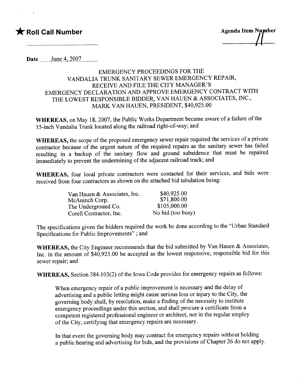## \* Roll Call Number Agenda Item Number

Date ...\_\_)tlnt-A,.~QQ1..\_.\_\_\_\_..\_

### EMERGENCY PROCEEDINGS FOR THE VANDALIA TRUNK SANITARY SEWER EMERGENCY REPAIR, RECEIVE AND FILE THE CITY MANAGER'S EMERGENCY DECLARATION AND APPROVE EMERGENCY CONTRACT WITH THE LOWEST RESPONSIBLE BIDDER, VAN HAUEN & ASSOCIATES, INC., MARK VAN HAUEN, PRESIDENT, \$40,925.00

WHEREAS, on May 18, 2007, the Public Works Department became aware of a failure of the 15-inch Vandalia Trunk located along the railroad right-of-way; and

WHEREAS, the scope of the proposed emergency sewer repair required the services of a private contractor because of the urgent nature of the required repairs as the sanitary sewer has failed resulting in a backup of the sanitary flow and ground subsidence that must be repaired immediately to prevent the undermining of the adjacent railroad track; and

WHEREAS, four local private contractors were contacted for their services, and bids were received from four contractors as shown on the attached bid tabulation being:

| Van Hauen & Associates, Inc. | \$40,925.00       |
|------------------------------|-------------------|
| McAninch Corp.               | \$71,800.00       |
| The Underground Co.          | \$105,000.00      |
| Corell Contractor, Inc.      | No bid (too busy) |

The specifications given the bidders required the work be done according to the "Urban Standard Specifications for Public Improvements"; and

WHEREAS, the City Engineer recommends that the bid submitted by Van Hauen & Associates, Inc. in the amount of \$40,925.00 be accepted as the lowest responsive, responsible bid for this sewer repair; and

WHEREAS, Section 384.103(2) of the Iowa Code provides for emergency repairs as follows:

When emergency repair of a public improvement is necessary and the delay of advertising and a public letting might cause serious loss or injury to the City, the governing body shall, by resolution, make a finding of the necessity to institute emergency proceedings under this section, and shall procure a certificate from a competent registered professional engineer or architect, not in the regular employ of the City, certifying that emergency repairs are necessary.

In that event the governing body may contract for emergency repairs without holding a public hearing and advertising for bids, and the provisions of Chapter 26 do not apply.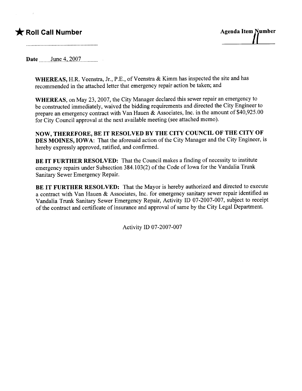## \* Roll Call Number Agenda Item Number



Date .\_\_\_\_)tlnt-A,.~QQ1.\_\_\_...\_\_

WHEREAS, H.R. Veenstra, Jr., P.E., of Veenstra & Kimm has inspected the site and has recommended in the attached letter that emergency repair action be taken; and

WHEREAS, on May 23,2007, the City Manager declared this sewer repair an emergency to be constructed immediately, waived the bidding requirements and directed the City Engineer to prepare an emergency contract with Van Hauen & Associates, Inc. in the amount of \$40,925.00 for City Council approval at the next available meeting (see attached memo).

NOW, THEREFORE, BE IT RESOLVED BY THE CITY COUNCIL OF THE CITY OF DES MOINES, IOWA: That the aforesaid action of the City Manager and the City Engineer, is hereby expressly approved, ratified, and confirmed.

BE IT FURTHER RESOLVED: That the Council makes a finding of necessity to institute emergency repairs under Subsection 384.103(2) of the Code of Iowa for the Vandalia Trunk Sanitary Sewer Emergency Repair.

BE IT FURTHER RESOLVED: That the Mayor is hereby authorized and directed to execute a contract with Van Hauen & Associates, Inc. for emergency sanitary sewer repair identified as Vandalia Trunk Sanitary Sewer Emergency Repair, Activity ID 07-2007-007, subject to receipt of the contract and certificate of insurance and approval of same by the City Legal Department.

Activity ID 07-2007-007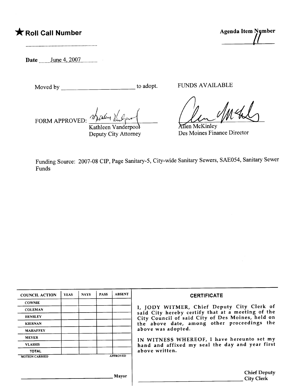# \* Roll Call Number Agenda Item Nymber

Date \_\_\_..)tlnç\_A,.~QQ1..\_\_\_\_..\_\_

Moved by to adopt. FUNDS AVAILABLE

FORM APPROVED:

Kathleen Vanderpoo Deputy City Attorney

**Allen McKinley** Des Moines Finance Director

Funding Source: 2007-08 CIP, Page Sanitary-5, City-wide Sanitary Sewers, SAE054, Sanitary Sewer Funds

| <b>COUNCIL ACTION</b> | <b>YEAS</b> | <b>NAYS</b> | <b>PASS</b> | <b>ABSENT</b>   | <b>CERTIFICATE</b>                                                                                                                                  |  |  |  |
|-----------------------|-------------|-------------|-------------|-----------------|-----------------------------------------------------------------------------------------------------------------------------------------------------|--|--|--|
| <b>COWNIE</b>         |             |             |             |                 |                                                                                                                                                     |  |  |  |
| <b>COLEMAN</b>        |             |             |             |                 | I, JODY WITMER, Chief Deputy City Clerk of<br>said City hereby certify that at a meeting of the<br>City Council of said City of Des Moines, held on |  |  |  |
| <b>HENSLEY</b>        |             |             |             |                 |                                                                                                                                                     |  |  |  |
| <b>KIERNAN</b>        |             |             |             |                 | the above date, among other proceedings the                                                                                                         |  |  |  |
| <b>MAHAFFEY</b>       |             |             |             |                 | above was adopted.<br>IN WITNESS WHEREOF, I have hereunto set my                                                                                    |  |  |  |
| <b>MEYER</b>          |             |             |             |                 |                                                                                                                                                     |  |  |  |
| <b>VLASSIS</b>        |             |             |             |                 | hand and affixed my seal the day and year first                                                                                                     |  |  |  |
| <b>TOTAL</b>          |             |             |             |                 | above written.                                                                                                                                      |  |  |  |
| <b>MOTION CARRIED</b> |             |             |             | <b>APPROVED</b> |                                                                                                                                                     |  |  |  |
|                       |             |             |             |                 |                                                                                                                                                     |  |  |  |
|                       |             |             |             | Mayor           | <b>Chief Deputy</b><br><b>City Clerk</b>                                                                                                            |  |  |  |

 $\mu$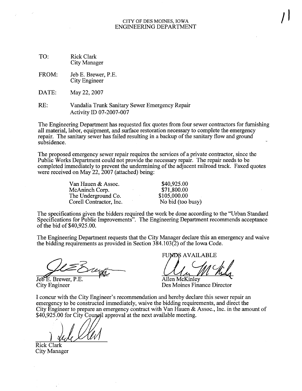#### CITY OF DES MOINES, IOWA ENGINEERIG DEPARTMENT

 $\int$ 

- TO: Rick Clark City Manager
- Jeb E. Brewer, P.E. City Engineer FROM:
- DATE: May 22, 2007
- RE: Vandalia Trunk Sanitary Sewer Emergency Repair Activity ID 07-2007-007

The Engineering Department has requested fax quotes from four sewer contractors for furnishing all material, labor, equipment, and surface restoration necessary to complete the emergency repair. The sanitary sewer has failed resulting in a backup of the sanitary flow and ground subsidence.

The proposed emergency sewer repair requires the services of a private contractor, since the Public Works Department could not provide the necessary repair. The repair needs to be completed immediately to prevent the undermining of the adjacent railroad track. Faxed quotes were received on May  $22$ ,  $2007$  (attached) being:

> Van Hauen & Assoc. McAninch Corp. The Underground Co. Corell Contractor, Inc.

\$40,925.00 \$71,800.00 \$105,000.00 No bid (too busy)

The specifications given the bidders required the work be done according to the "Urban Standard Specifications for Public Improvements". The Engineering Deparent recommends acceptance of the bid of \$40,925.00.

The Engineering Department requests that the City Manager declare this an emergency and waive the bidding requirements as provided in Section 384.103(2) of the Iowa Code.

Jeb<sup>E</sup>. Brewer, P.E. City Engineer

FUMDS AVAILABLE

Allen McKinley

Des Moines Finance Director

I concur with the City Engineer's recommendation and hereby declare this sewer repair an emergency to be constructed immediately, waive the bidding requirements, and direct the City Engineer to prepare an emergency contract with Van Hauen & Assoc., Inc. in the amount of  $$40,925.00$  for City Coungil approval at the next available meeting.

Rick Clark City Manager